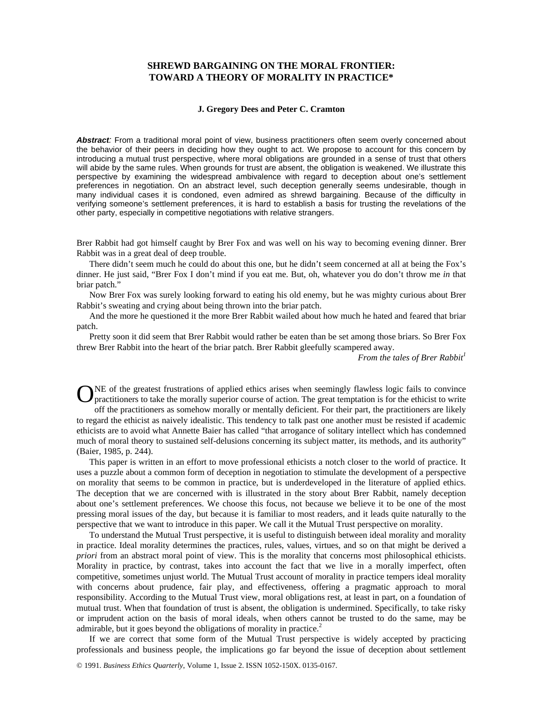# **SHREWD BARGAINING ON THE MORAL FRONTIER: TOWARD A THEORY OF MORALITY IN PRACTICE\***

#### **J. Gregory Dees and Peter C. Cramton**

Abstract: From a traditional moral point of view, business practitioners often seem overly concerned about the behavior of their peers in deciding how they ought to act. We propose to account for this concern by introducing a mutual trust perspective, where moral obligations are grounded in a sense of trust that others will abide by the same rules. When grounds for trust are absent, the obligation is weakened. We illustrate this perspective by examining the widespread ambivalence with regard to deception about one's settlement preferences in negotiation. On an abstract level, such deception generally seems undesirable, though in many individual cases it is condoned, even admired as shrewd bargaining. Because of the difficulty in verifying someone's settlement preferences, it is hard to establish a basis for trusting the revelations of the other party, especially in competitive negotiations with relative strangers.

Brer Rabbit had got himself caught by Brer Fox and was well on his way to becoming evening dinner. Brer Rabbit was in a great deal of deep trouble.

There didn't seem much he could do about this one, but he didn't seem concerned at all at being the Fox's dinner. He just said, "Brer Fox I don't mind if you eat me. But, oh, whatever you do don't throw me *in* that briar patch."

Now Brer Fox was surely looking forward to eating his old enemy, but he was mighty curious about Brer Rabbit's sweating and crying about being thrown into the briar patch.

And the more he questioned it the more Brer Rabbit wailed about how much he hated and feared that briar patch.

Pretty soon it did seem that Brer Rabbit would rather be eaten than be set among those briars. So Brer Fox threw Brer Rabbit into the heart of the briar patch. Brer Rabbit gleefully scampered away.

*From the tales of Brer Rabbit<sup>1</sup>*

NE of the greatest frustrations of applied ethics arises when seemingly flawless logic fails to convince practitioners to take the morally superior course of action. The great temptation is for the ethicist to write off the practitioners as somehow morally or mentally deficient. For their part, the practitioners are likely to regard the ethicist as naively idealistic. This tendency to talk past one another must be resisted if academic ethicists are to avoid what Annette Baier has called "that arrogance of solitary intellect which has condemned much of moral theory to sustained self-delusions concerning its subject matter, its methods, and its authority" (Baier, 1985, p. 244). O

This paper is written in an effort to move professional ethicists a notch closer to the world of practice. It uses a puzzle about a common form of deception in negotiation to stimulate the development of a perspective on morality that seems to be common in practice, but is underdeveloped in the literature of applied ethics. The deception that we are concerned with is illustrated in the story about Brer Rabbit, namely deception about one's settlement preferences. We choose this focus, not because we believe it to be one of the most pressing moral issues of the day, but because it is familiar to most readers, and it leads quite naturally to the perspective that we want to introduce in this paper. We call it the Mutual Trust perspective on morality.

To understand the Mutual Trust perspective, it is useful to distinguish between ideal morality and morality in practice. Ideal morality determines the practices, rules, values, virtues, and so on that might be derived a *priori* from an abstract moral point of view. This is the morality that concerns most philosophical ethicists. Morality in practice, by contrast, takes into account the fact that we live in a morally imperfect, often competitive, sometimes unjust world. The Mutual Trust account of morality in practice tempers ideal morality with concerns about prudence, fair play, and effectiveness, offering a pragmatic approach to moral responsibility. According to the Mutual Trust view, moral obligations rest, at least in part, on a foundation of mutual trust. When that foundation of trust is absent, the obligation is undermined. Specifically, to take risky or imprudent action on the basis of moral ideals, when others cannot be trusted to do the same, may be admirable, but it goes beyond the obligations of morality in practice.<sup>2</sup>

If we are correct that some form of the Mutual Trust perspective is widely accepted by practicing professionals and business people, the implications go far beyond the issue of deception about settlement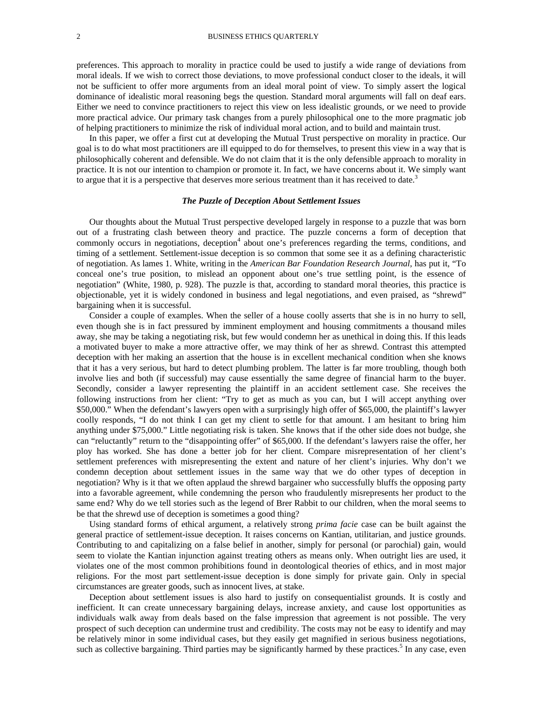preferences. This approach to morality in practice could be used to justify a wide range of deviations from moral ideals. If we wish to correct those deviations, to move professional conduct closer to the ideals, it will not be sufficient to offer more arguments from an ideal moral point of view. To simply assert the logical dominance of idealistic moral reasoning begs the question. Standard moral arguments will fall on deaf ears. Either we need to convince practitioners to reject this view on less idealistic grounds, or we need to provide more practical advice. Our primary task changes from a purely philosophical one to the more pragmatic job of helping practitioners to minimize the risk of individual moral action, and to build and maintain trust.

In this paper, we offer a first cut at developing the Mutual Trust perspective on morality in practice. Our goal is to do what most practitioners are ill equipped to do for themselves, to present this view in a way that is philosophically coherent and defensible. We do not claim that it is the only defensible approach to morality in practice. It is not our intention to champion or promote it. In fact, we have concerns about it. We simply want to argue that it is a perspective that deserves more serious treatment than it has received to date.<sup>3</sup>

## *The Puzzle of Deception About Settlement Issues*

Our thoughts about the Mutual Trust perspective developed largely in response to a puzzle that was born out of a frustrating clash between theory and practice. The puzzle concerns a form of deception that commonly occurs in negotiations, deception<sup>4</sup> about one's preferences regarding the terms, conditions, and timing of a settlement. Settlement-issue deception is so common that some see it as a defining characteristic of negotiation. As lames 1. White, writing in the *American Bar Foundation Research Journal,* has put it, "To conceal one's true position, to mislead an opponent about one's true settling point, is the essence of negotiation" (White, 1980, p. 928). The puzzle is that, according to standard moral theories, this practice is objectionable, yet it is widely condoned in business and legal negotiations, and even praised, as "shrewd" bargaining when it is successful.

Consider a couple of examples. When the seller of a house coolly asserts that she is in no hurry to sell, even though she is in fact pressured by imminent employment and housing commitments a thousand miles away, she may be taking a negotiating risk, but few would condemn her as unethical in doing this. If this leads a motivated buyer to make a more attractive offer, we may think of her as shrewd. Contrast this attempted deception with her making an assertion that the house is in excellent mechanical condition when she knows that it has a very serious, but hard to detect plumbing problem. The latter is far more troubling, though both involve lies and both (if successful) may cause essentially the same degree of financial harm to the buyer. Secondly, consider a lawyer representing the plaintiff in an accident settlement case. She receives the following instructions from her client: "Try to get as much as you can, but I will accept anything over \$50,000." When the defendant's lawyers open with a surprisingly high offer of \$65,000, the plaintiff's lawyer coolly responds, "I do not think I can get my client to settle for that amount. I am hesitant to bring him anything under \$75,000." Little negotiating risk is taken. She knows that if the other side does not budge, she can "reluctantly" return to the "disappointing offer" of \$65,000. If the defendant's lawyers raise the offer, her ploy has worked. She has done a better job for her client. Compare misrepresentation of her client's settlement preferences with misrepresenting the extent and nature of her client's injuries. Why don't we condemn deception about settlement issues in the same way that we do other types of deception in negotiation? Why is it that we often applaud the shrewd bargainer who successfully bluffs the opposing party into a favorable agreement, while condemning the person who fraudulently misrepresents her product to the same end? Why do we tell stories such as the legend of Brer Rabbit to our children, when the moral seems to be that the shrewd use of deception is sometimes a good thing?

Using standard forms of ethical argument, a relatively strong *prima facie* case can be built against the general practice of settlement-issue deception. It raises concerns on Kantian, utilitarian, and justice grounds. Contributing to and capitalizing on a false belief in another, simply for personal (or parochial) gain, would seem to violate the Kantian injunction against treating others as means only. When outright lies are used, it violates one of the most common prohibitions found in deontological theories of ethics, and in most major religions. For the most part settlement-issue deception is done simply for private gain. Only in special circumstances are greater goods, such as innocent lives, at stake.

Deception about settlement issues is also hard to justify on consequentialist grounds. It is costly and inefficient. It can create unnecessary bargaining delays, increase anxiety, and cause lost opportunities as individuals walk away from deals based on the false impression that agreement is not possible. The very prospect of such deception can undermine trust and credibility. The costs may not be easy to identify and may be relatively minor in some individual cases, but they easily get magnified in serious business negotiations, such as collective bargaining. Third parties may be significantly harmed by these practices.<sup>5</sup> In any case, even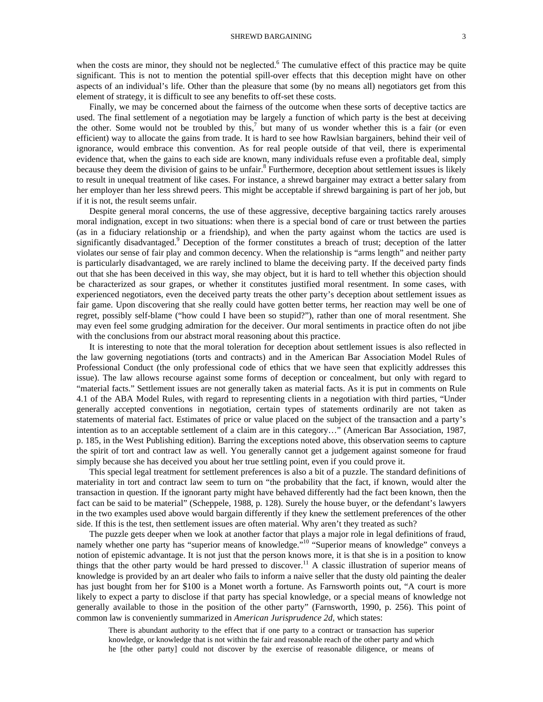when the costs are minor, they should not be neglected.<sup>6</sup> The cumulative effect of this practice may be quite significant. This is not to mention the potential spill-over effects that this deception might have on other aspects of an individual's life. Other than the pleasure that some (by no means all) negotiators get from this element of strategy, it is difficult to see any benefits to off-set these costs.

Finally, we may be concerned about the fairness of the outcome when these sorts of deceptive tactics are used. The final settlement of a negotiation may be largely a function of which party is the best at deceiving the other. Some would not be troubled by this,<sup>7</sup> but many of us wonder whether this is a fair (or even efficient) way to allocate the gains from trade. It is hard to see how Rawlsian bargainers, behind their veil of ignorance, would embrace this convention. As for real people outside of that veil, there is experimental evidence that, when the gains to each side are known, many individuals refuse even a profitable deal, simply because they deem the division of gains to be unfair.<sup>8</sup> Furthermore, deception about settlement issues is likely to result in unequal treatment of like cases. For instance, a shrewd bargainer may extract a better salary from her employer than her less shrewd peers. This might be acceptable if shrewd bargaining is part of her job, but if it is not, the result seems unfair.

Despite general moral concerns, the use of these aggressive, deceptive bargaining tactics rarely arouses moral indignation, except in two situations: when there is a special bond of care or trust between the parties (as in a fiduciary relationship or a friendship), and when the party against whom the tactics are used is significantly disadvantaged.<sup>9</sup> Deception of the former constitutes a breach of trust; deception of the latter violates our sense of fair play and common decency. When the relationship is "arms length" and neither party is particularly disadvantaged, we are rarely inclined to blame the deceiving party. If the deceived party finds out that she has been deceived in this way, she may object, but it is hard to tell whether this objection should be characterized as sour grapes, or whether it constitutes justified moral resentment. In some cases, with experienced negotiators, even the deceived party treats the other party's deception about settlement issues as fair game. Upon discovering that she really could have gotten better terms, her reaction may well be one of regret, possibly self-blame ("how could I have been so stupid?"), rather than one of moral resentment. She may even feel some grudging admiration for the deceiver. Our moral sentiments in practice often do not jibe with the conclusions from our abstract moral reasoning about this practice.

It is interesting to note that the moral toleration for deception about settlement issues is also reflected in the law governing negotiations (torts and contracts) and in the American Bar Association Model Rules of Professional Conduct (the only professional code of ethics that we have seen that explicitly addresses this issue). The law allows recourse against some forms of deception or concealment, but only with regard to "material facts." Settlement issues are not generally taken as material facts. As it is put in comments on Rule 4.1 of the ABA Model Rules, with regard to representing clients in a negotiation with third parties, "Under generally accepted conventions in negotiation, certain types of statements ordinarily are not taken as statements of material fact. Estimates of price or value placed on the subject of the transaction and a party's intention as to an acceptable settlement of a claim are in this category…" (American Bar Association, 1987, p. 185, in the West Publishing edition). Barring the exceptions noted above, this observation seems to capture the spirit of tort and contract law as well. You generally cannot get a judgement against someone for fraud simply because she has deceived you about her true settling point, even if you could prove it.

This special legal treatment for settlement preferences is also a bit of a puzzle. The standard definitions of materiality in tort and contract law seem to turn on "the probability that the fact, if known, would alter the transaction in question. If the ignorant party might have behaved differently had the fact been known, then the fact can be said to be material" (Scheppele, 1988, p. 128). Surely the house buyer, or the defendant's lawyers in the two examples used above would bargain differently if they knew the settlement preferences of the other side. If this is the test, then settlement issues are often material. Why aren't they treated as such?

The puzzle gets deeper when we look at another factor that plays a major role in legal definitions of fraud, namely whether one party has "superior means of knowledge."<sup>10</sup> "Superior means of knowledge" conveys a notion of epistemic advantage. It is not just that the person knows more, it is that she is in a position to know things that the other party would be hard pressed to discover.<sup>11</sup> A classic illustration of superior means of knowledge is provided by an art dealer who fails to inform a naive seller that the dusty old painting the dealer has just bought from her for \$100 is a Monet worth a fortune. As Farnsworth points out, "A court is more likely to expect a party to disclose if that party has special knowledge, or a special means of knowledge not generally available to those in the position of the other party" (Farnsworth, 1990, p. 256). This point of common law is conveniently summarized in *American Jurisprudence 2d,* which states:

There is abundant authority to the effect that if one party to a contract or transaction has superior knowledge, or knowledge that is not within the fair and reasonable reach of the other party and which he [the other party] could not discover by the exercise of reasonable diligence, or means of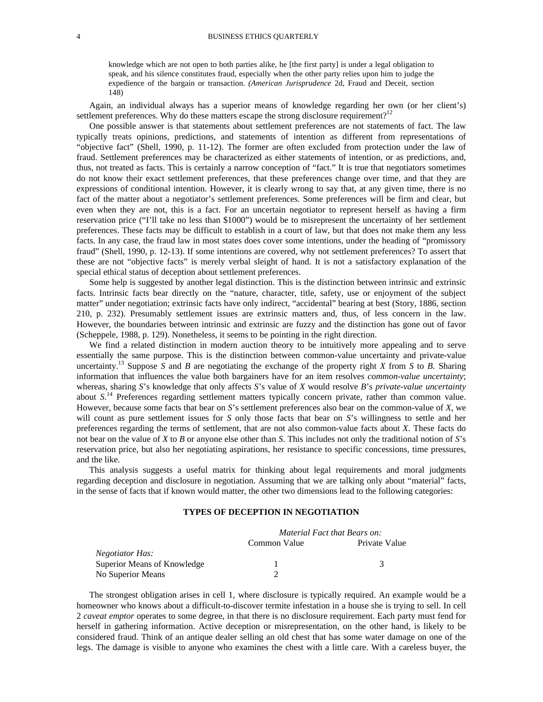knowledge which are not open to both parties alike, he [the first party] is under a legal obligation to speak, and his silence constitutes fraud, especially when the other party relies upon him to judge the expedience of the bargain or transaction. *(American Jurisprudence* 2d, Fraud and Deceit, section 148)

Again, an individual always has a superior means of knowledge regarding her own (or her client's) settlement preferences. Why do these matters escape the strong disclosure requirement?<sup>12</sup>

One possible answer is that statements about settlement preferences are not statements of fact. The law typically treats opinions, predictions, and statements of intention as different from representations of "objective fact" (Shell, 1990, p. 11-12). The former are often excluded from protection under the law of fraud. Settlement preferences may be characterized as either statements of intention, or as predictions, and, thus, not treated as facts. This is certainly a narrow conception of "fact." It is true that negotiators sometimes do not know their exact settlement preferences, that these preferences change over time, and that they are expressions of conditional intention. However, it is clearly wrong to say that, at any given time, there is no fact of the matter about a negotiator's settlement preferences. Some preferences will be firm and clear, but even when they are not, this is a fact. For an uncertain negotiator to represent herself as having a firm reservation price ("I'll take no less than \$1000") would be to misrepresent the uncertainty of her settlement preferences. These facts may be difficult to establish in a court of law, but that does not make them any less facts. In any case, the fraud law in most states does cover some intentions, under the heading of "promissory fraud" (Shell, 1990, p. 12-13). If some intentions are covered, why not settlement preferences? To assert that these are not "objective facts" is merely verbal sleight of hand. It is not a satisfactory explanation of the special ethical status of deception about settlement preferences.

Some help is suggested by another legal distinction. This is the distinction between intrinsic and extrinsic facts. Intrinsic facts bear directly on the "nature, character, title, safety, use or enjoyment of the subject matter" under negotiation; extrinsic facts have only indirect, "accidental" bearing at best (Story, 1886, section 210, p. 232). Presumably settlement issues are extrinsic matters and, thus, of less concern in the law. However, the boundaries between intrinsic and extrinsic are fuzzy and the distinction has gone out of favor (Scheppele, 1988, p. 129). Nonetheless, it seems to be pointing in the right direction.

We find a related distinction in modern auction theory to be intuitively more appealing and to serve essentially the same purpose. This is the distinction between common-value uncertainty and private-value uncertainty.<sup>13</sup> Suppose *S* and *B* are negotiating the exchange of the property right *X* from *S* to *B.* Sharing information that influences the value both bargainers have for an item resolves *common*-*value uncertainty*; whereas, sharing *S*'s knowledge that only affects *S*'s value of *X* would resolve *B*'s *private*-*value uncertainty* about S.<sup>14</sup> Preferences regarding settlement matters typically concern private, rather than common value. However, because some facts that bear on *S*'s settlement preferences also bear on the common-value of *X*, we will count as pure settlement issues for *S* only those facts that bear on *S*'s willingness to settle and her preferences regarding the terms of settlement, that are not also common-value facts about *X*. These facts do not bear on the value of *X* to *B* or anyone else other than *S*. This includes not only the traditional notion of *S*'s reservation price, but also her negotiating aspirations, her resistance to specific concessions, time pressures, and the like.

This analysis suggests a useful matrix for thinking about legal requirements and moral judgments regarding deception and disclosure in negotiation. Assuming that we are talking only about "material" facts, in the sense of facts that if known would matter, the other two dimensions lead to the following categories:

# **TYPES OF DECEPTION IN NEGOTIATION**

|                             | Material Fact that Bears on: |               |
|-----------------------------|------------------------------|---------------|
|                             | Common Value                 | Private Value |
| <i>Negotiator Has:</i>      |                              |               |
| Superior Means of Knowledge |                              | $\rightarrow$ |
| No Superior Means           |                              |               |

The strongest obligation arises in cell 1, where disclosure is typically required. An example would be a homeowner who knows about a difficult-to-discover termite infestation in a house she is trying to sell. In cell 2 *caveat emptor* operates to some degree, in that there is no disclosure requirement. Each party must fend for herself in gathering information. Active deception or misrepresentation, on the other hand, is likely to be considered fraud. Think of an antique dealer selling an old chest that has some water damage on one of the legs. The damage is visible to anyone who examines the chest with a little care. With a careless buyer, the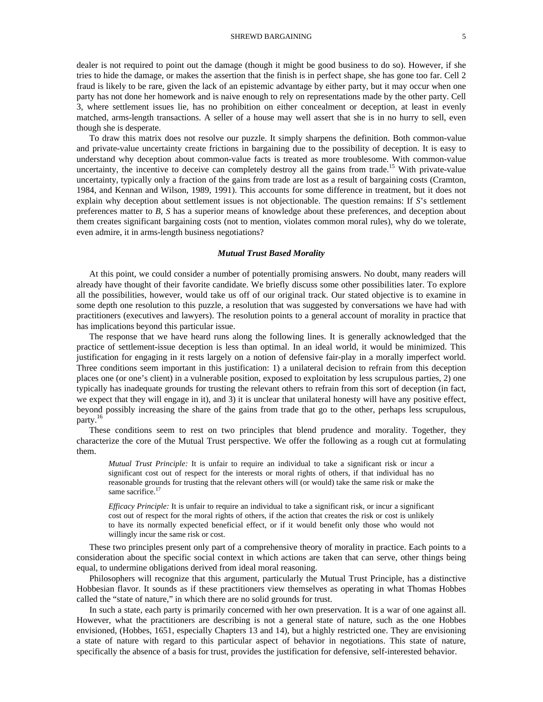#### SHREWD BARGAINING 5

dealer is not required to point out the damage (though it might be good business to do so). However, if she tries to hide the damage, or makes the assertion that the finish is in perfect shape, she has gone too far. Cell 2 fraud is likely to be rare, given the lack of an epistemic advantage by either party, but it may occur when one party has not done her homework and is naive enough to rely on representations made by the other party. Cell 3, where settlement issues lie, has no prohibition on either concealment or deception, at least in evenly matched, arms-length transactions. A seller of a house may well assert that she is in no hurry to sell, even though she is desperate.

To draw this matrix does not resolve our puzzle. It simply sharpens the definition. Both common-value and private-value uncertainty create frictions in bargaining due to the possibility of deception. It is easy to understand why deception about common-value facts is treated as more troublesome. With common-value uncertainty, the incentive to deceive can completely destroy all the gains from trade.<sup>15</sup> With private-value uncertainty, typically only a fraction of the gains from trade are lost as a result of bargaining costs (Cramton, 1984, and Kennan and Wilson, 1989, 1991). This accounts for some difference in treatment, but it does not explain why deception about settlement issues is not objectionable. The question remains: If *S*'s settlement preferences matter to *B*, *S* has a superior means of knowledge about these preferences, and deception about them creates significant bargaining costs (not to mention, violates common moral rules), why do we tolerate, even admire, it in arms-length business negotiations?

# *Mutual Trust Based Morality*

At this point, we could consider a number of potentially promising answers. No doubt, many readers will already have thought of their favorite candidate. We briefly discuss some other possibilities later. To explore all the possibilities, however, would take us off of our original track. Our stated objective is to examine in some depth one resolution to this puzzle, a resolution that was suggested by conversations we have had with practitioners (executives and lawyers). The resolution points to a general account of morality in practice that has implications beyond this particular issue.

The response that we have heard runs along the following lines. It is generally acknowledged that the practice of settlement-issue deception is less than optimal. In an ideal world, it would be minimized. This justification for engaging in it rests largely on a notion of defensive fair-play in a morally imperfect world. Three conditions seem important in this justification: 1) a unilateral decision to refrain from this deception places one (or one's client) in a vulnerable position, exposed to exploitation by less scrupulous parties, 2) one typically has inadequate grounds for trusting the relevant others to refrain from this sort of deception (in fact, we expect that they will engage in it), and 3) it is unclear that unilateral honesty will have any positive effect, beyond possibly increasing the share of the gains from trade that go to the other, perhaps less scrupulous, party.<sup>16</sup>

These conditions seem to rest on two principles that blend prudence and morality. Together, they characterize the core of the Mutual Trust perspective. We offer the following as a rough cut at formulating them.

*Mutual Trust Principle:* It is unfair to require an individual to take a significant risk or incur a significant cost out of respect for the interests or moral rights of others, if that individual has no reasonable grounds for trusting that the relevant others will (or would) take the same risk or make the same sacrifice.<sup>17</sup>

*Efficacy Principle:* It is unfair to require an individual to take a significant risk, or incur a significant cost out of respect for the moral rights of others, if the action that creates the risk or cost is unlikely to have its normally expected beneficial effect, or if it would benefit only those who would not willingly incur the same risk or cost.

These two principles present only part of a comprehensive theory of morality in practice. Each points to a consideration about the specific social context in which actions are taken that can serve, other things being equal, to undermine obligations derived from ideal moral reasoning.

Philosophers will recognize that this argument, particularly the Mutual Trust Principle, has a distinctive Hobbesian flavor. It sounds as if these practitioners view themselves as operating in what Thomas Hobbes called the "state of nature," in which there are no solid grounds for trust.

In such a state, each party is primarily concerned with her own preservation. It is a war of one against all. However, what the practitioners are describing is not a general state of nature, such as the one Hobbes envisioned, (Hobbes, 1651, especially Chapters 13 and 14), but a highly restricted one. They are envisioning a state of nature with regard to this particular aspect of behavior in negotiations. This state of nature, specifically the absence of a basis for trust, provides the justification for defensive, self-interested behavior.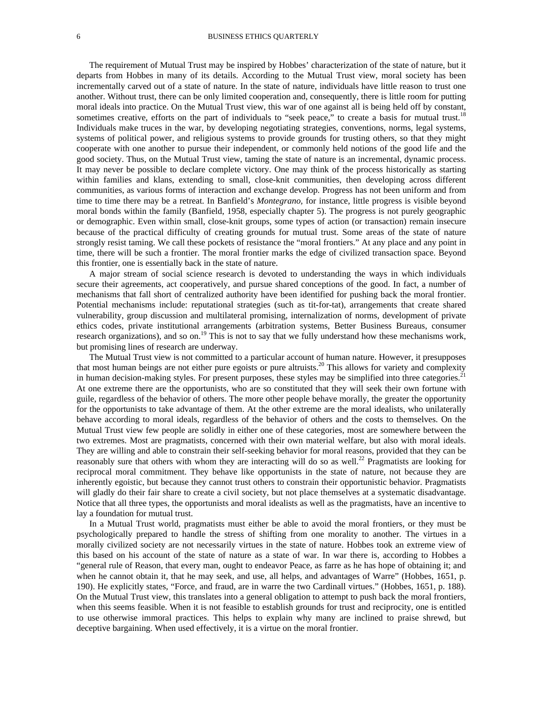The requirement of Mutual Trust may be inspired by Hobbes' characterization of the state of nature, but it departs from Hobbes in many of its details. According to the Mutual Trust view, moral society has been incrementally carved out of a state of nature. In the state of nature, individuals have little reason to trust one another. Without trust, there can be only limited cooperation and, consequently, there is little room for putting moral ideals into practice. On the Mutual Trust view, this war of one against all is being held off by constant, sometimes creative, efforts on the part of individuals to "seek peace," to create a basis for mutual trust.<sup>18</sup> Individuals make truces in the war, by developing negotiating strategies, conventions, norms, legal systems, systems of political power, and religious systems to provide grounds for trusting others, so that they might cooperate with one another to pursue their independent, or commonly held notions of the good life and the good society. Thus, on the Mutual Trust view, taming the state of nature is an incremental, dynamic process. It may never be possible to declare complete victory. One may think of the process historically as starting within families and klans, extending to small, close-knit communities, then developing across different communities, as various forms of interaction and exchange develop. Progress has not been uniform and from time to time there may be a retreat. In Banfield's *Montegrano,* for instance, little progress is visible beyond moral bonds within the family (Banfield, 1958, especially chapter 5). The progress is not purely geographic or demographic. Even within small, close-knit groups, some types of action (or transaction) remain insecure because of the practical difficulty of creating grounds for mutual trust. Some areas of the state of nature strongly resist taming. We call these pockets of resistance the "moral frontiers." At any place and any point in time, there will be such a frontier. The moral frontier marks the edge of civilized transaction space. Beyond this frontier, one is essentially back in the state of nature.

A major stream of social science research is devoted to understanding the ways in which individuals secure their agreements, act cooperatively, and pursue shared conceptions of the good. In fact, a number of mechanisms that fall short of centralized authority have been identified for pushing back the moral frontier. Potential mechanisms include: reputational strategies (such as tit-for-tat), arrangements that create shared vulnerability, group discussion and multilateral promising, internalization of norms, development of private ethics codes, private institutional arrangements (arbitration systems, Better Business Bureaus, consumer research organizations), and so on.<sup>19</sup> This is not to say that we fully understand how these mechanisms work, but promising lines of research are underway.

The Mutual Trust view is not committed to a particular account of human nature. However, it presupposes that most human beings are not either pure egoists or pure altruists.<sup>20</sup> This allows for variety and complexity in human decision-making styles. For present purposes, these styles may be simplified into three categories. $2<sup>1</sup>$ At one extreme there are the opportunists, who are so constituted that they will seek their own fortune with guile, regardless of the behavior of others. The more other people behave morally, the greater the opportunity for the opportunists to take advantage of them. At the other extreme are the moral idealists, who unilaterally behave according to moral ideals, regardless of the behavior of others and the costs to themselves. On the Mutual Trust view few people are solidly in either one of these categories, most are somewhere between the two extremes. Most are pragmatists, concerned with their own material welfare, but also with moral ideals. They are willing and able to constrain their self-seeking behavior for moral reasons, provided that they can be reasonably sure that others with whom they are interacting will do so as well.<sup>22</sup> Pragmatists are looking for reciprocal moral commitment. They behave like opportunists in the state of nature, not because they are inherently egoistic, but because they cannot trust others to constrain their opportunistic behavior. Pragmatists will gladly do their fair share to create a civil society, but not place themselves at a systematic disadvantage. Notice that all three types, the opportunists and moral idealists as well as the pragmatists, have an incentive to lay a foundation for mutual trust.

In a Mutual Trust world, pragmatists must either be able to avoid the moral frontiers, or they must be psychologically prepared to handle the stress of shifting from one morality to another. The virtues in a morally civilized society are not necessarily virtues in the state of nature. Hobbes took an extreme view of this based on his account of the state of nature as a state of war. In war there is, according to Hobbes a "general rule of Reason, that every man, ought to endeavor Peace, as farre as he has hope of obtaining it; and when he cannot obtain it, that he may seek, and use, all helps, and advantages of Warre" (Hobbes, 1651, p. 190). He explicitly states, "Force, and fraud, are in warre the two Cardinall virtues." (Hobbes, 1651, p. 188). On the Mutual Trust view, this translates into a general obligation to attempt to push back the moral frontiers, when this seems feasible. When it is not feasible to establish grounds for trust and reciprocity, one is entitled to use otherwise immoral practices. This helps to explain why many are inclined to praise shrewd, but deceptive bargaining. When used effectively, it is a virtue on the moral frontier.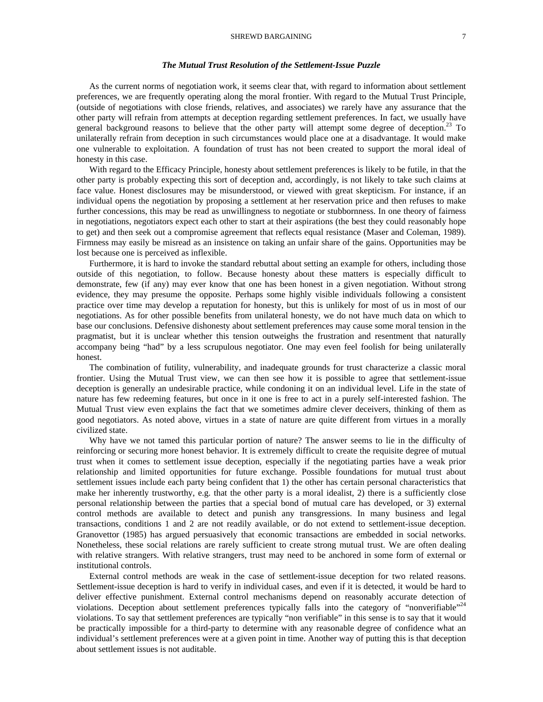# *The Mutual Trust Resolution of the Settlement-Issue Puzzle*

As the current norms of negotiation work, it seems clear that, with regard to information about settlement preferences, we are frequently operating along the moral frontier. With regard to the Mutual Trust Principle, (outside of negotiations with close friends, relatives, and associates) we rarely have any assurance that the other party will refrain from attempts at deception regarding settlement preferences. In fact, we usually have general background reasons to believe that the other party will attempt some degree of deception.<sup>23</sup> To unilaterally refrain from deception in such circumstances would place one at a disadvantage. It would make one vulnerable to exploitation. A foundation of trust has not been created to support the moral ideal of honesty in this case.

With regard to the Efficacy Principle, honesty about settlement preferences is likely to be futile, in that the other party is probably expecting this sort of deception and, accordingly, is not likely to take such claims at face value. Honest disclosures may be misunderstood, or viewed with great skepticism. For instance, if an individual opens the negotiation by proposing a settlement at her reservation price and then refuses to make further concessions, this may be read as unwillingness to negotiate or stubbornness. In one theory of fairness in negotiations, negotiators expect each other to start at their aspirations (the best they could reasonably hope to get) and then seek out a compromise agreement that reflects equal resistance (Maser and Coleman, 1989). Firmness may easily be misread as an insistence on taking an unfair share of the gains. Opportunities may be lost because one is perceived as inflexible.

Furthermore, it is hard to invoke the standard rebuttal about setting an example for others, including those outside of this negotiation, to follow. Because honesty about these matters is especially difficult to demonstrate, few (if any) may ever know that one has been honest in a given negotiation. Without strong evidence, they may presume the opposite. Perhaps some highly visible individuals following a consistent practice over time may develop a reputation for honesty, but this is unlikely for most of us in most of our negotiations. As for other possible benefits from unilateral honesty, we do not have much data on which to base our conclusions. Defensive dishonesty about settlement preferences may cause some moral tension in the pragmatist, but it is unclear whether this tension outweighs the frustration and resentment that naturally accompany being "had" by a less scrupulous negotiator. One may even feel foolish for being unilaterally honest.

The combination of futility, vulnerability, and inadequate grounds for trust characterize a classic moral frontier. Using the Mutual Trust view, we can then see how it is possible to agree that settlement-issue deception is generally an undesirable practice, while condoning it on an individual level. Life in the state of nature has few redeeming features, but once in it one is free to act in a purely self-interested fashion. The Mutual Trust view even explains the fact that we sometimes admire clever deceivers, thinking of them as good negotiators. As noted above, virtues in a state of nature are quite different from virtues in a morally civilized state.

Why have we not tamed this particular portion of nature? The answer seems to lie in the difficulty of reinforcing or securing more honest behavior. It is extremely difficult to create the requisite degree of mutual trust when it comes to settlement issue deception, especially if the negotiating parties have a weak prior relationship and limited opportunities for future exchange. Possible foundations for mutual trust about settlement issues include each party being confident that 1) the other has certain personal characteristics that make her inherently trustworthy, e.g. that the other party is a moral idealist, 2) there is a sufficiently close personal relationship between the parties that a special bond of mutual care has developed, or 3) external control methods are available to detect and punish any transgressions. In many business and legal transactions, conditions 1 and 2 are not readily available, or do not extend to settlement-issue deception. Granovettor (1985) has argued persuasively that economic transactions are embedded in social networks. Nonetheless, these social relations are rarely sufficient to create strong mutual trust. We are often dealing with relative strangers. With relative strangers, trust may need to be anchored in some form of external or institutional controls.

External control methods are weak in the case of settlement-issue deception for two related reasons. Settlement-issue deception is hard to verify in individual cases, and even if it is detected, it would be hard to deliver effective punishment. External control mechanisms depend on reasonably accurate detection of violations. Deception about settlement preferences typically falls into the category of "nonverifiable"<sup>24</sup> violations. To say that settlement preferences are typically "non verifiable" in this sense is to say that it would be practically impossible for a third-party to determine with any reasonable degree of confidence what an individual's settlement preferences were at a given point in time. Another way of putting this is that deception about settlement issues is not auditable.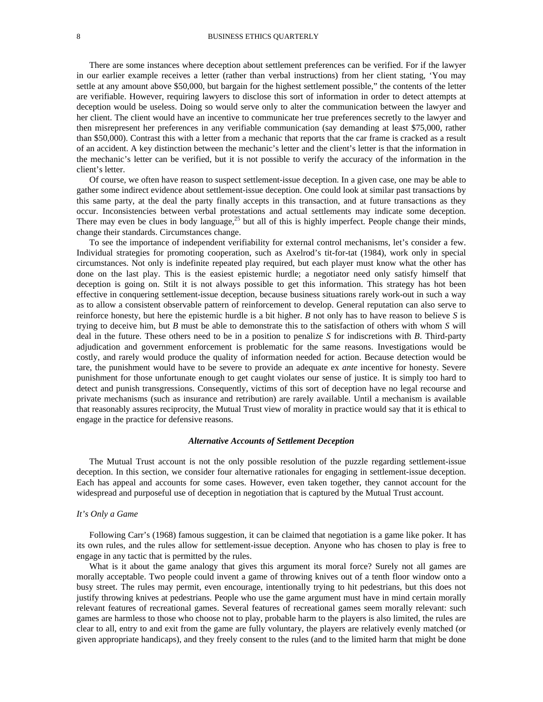There are some instances where deception about settlement preferences can be verified. For if the lawyer in our earlier example receives a letter (rather than verbal instructions) from her client stating, 'You may settle at any amount above \$50,000, but bargain for the highest settlement possible," the contents of the letter are verifiable. However, requiring lawyers to disclose this sort of information in order to detect attempts at deception would be useless. Doing so would serve only to alter the communication between the lawyer and her client. The client would have an incentive to communicate her true preferences secretly to the lawyer and then misrepresent her preferences in any verifiable communication (say demanding at least \$75,000, rather than \$50,000). Contrast this with a letter from a mechanic that reports that the car frame is cracked as a result of an accident. A key distinction between the mechanic's letter and the client's letter is that the information in the mechanic's letter can be verified, but it is not possible to verify the accuracy of the information in the client's letter.

Of course, we often have reason to suspect settlement-issue deception. In a given case, one may be able to gather some indirect evidence about settlement-issue deception. One could look at similar past transactions by this same party, at the deal the party finally accepts in this transaction, and at future transactions as they occur. Inconsistencies between verbal protestations and actual settlements may indicate some deception. There may even be clues in body language,<sup>25</sup> but all of this is highly imperfect. People change their minds, change their standards. Circumstances change.

To see the importance of independent verifiability for external control mechanisms, let's consider a few. Individual strategies for promoting cooperation, such as Axelrod's tit-for-tat (1984), work only in special circumstances. Not only is indefinite repeated play required, but each player must know what the other has done on the last play. This is the easiest epistemic hurdle; a negotiator need only satisfy himself that deception is going on. Stilt it is not always possible to get this information. This strategy has hot been effective in conquering settlement-issue deception, because business situations rarely work-out in such a way as to allow a consistent observable pattern of reinforcement to develop. General reputation can also serve to reinforce honesty, but here the epistemic hurdle is a bit higher. *B* not only has to have reason to believe *S* is trying to deceive him, but *B* must be able to demonstrate this to the satisfaction of others with whom *S* will deal in the future. These others need to be in a position to penalize *S* for indiscretions with *B*. Third-party adjudication and government enforcement is problematic for the same reasons. Investigations would be costly, and rarely would produce the quality of information needed for action. Because detection would be tare, the punishment would have to be severe to provide an adequate ex *ante* incentive for honesty. Severe punishment for those unfortunate enough to get caught violates our sense of justice. It is simply too hard to detect and punish transgressions. Consequently, victims of this sort of deception have no legal recourse and private mechanisms (such as insurance and retribution) are rarely available. Until a mechanism is available that reasonably assures reciprocity, the Mutual Trust view of morality in practice would say that it is ethical to engage in the practice for defensive reasons.

# *Alternative Accounts of Settlement Deception*

The Mutual Trust account is not the only possible resolution of the puzzle regarding settlement-issue deception. In this section, we consider four alternative rationales for engaging in settlement-issue deception. Each has appeal and accounts for some cases. However, even taken together, they cannot account for the widespread and purposeful use of deception in negotiation that is captured by the Mutual Trust account.

#### *It's Only a Game*

Following Carr's (1968) famous suggestion, it can be claimed that negotiation is a game like poker. It has its own rules, and the rules allow for settlement-issue deception. Anyone who has chosen to play is free to engage in any tactic that is permitted by the rules.

What is it about the game analogy that gives this argument its moral force? Surely not all games are morally acceptable. Two people could invent a game of throwing knives out of a tenth floor window onto a busy street. The rules may permit, even encourage, intentionally trying to hit pedestrians, but this does not justify throwing knives at pedestrians. People who use the game argument must have in mind certain morally relevant features of recreational games. Several features of recreational games seem morally relevant: such games are harmless to those who choose not to play, probable harm to the players is also limited, the rules are clear to all, entry to and exit from the game are fully voluntary, the players are relatively evenly matched (or given appropriate handicaps), and they freely consent to the rules (and to the limited harm that might be done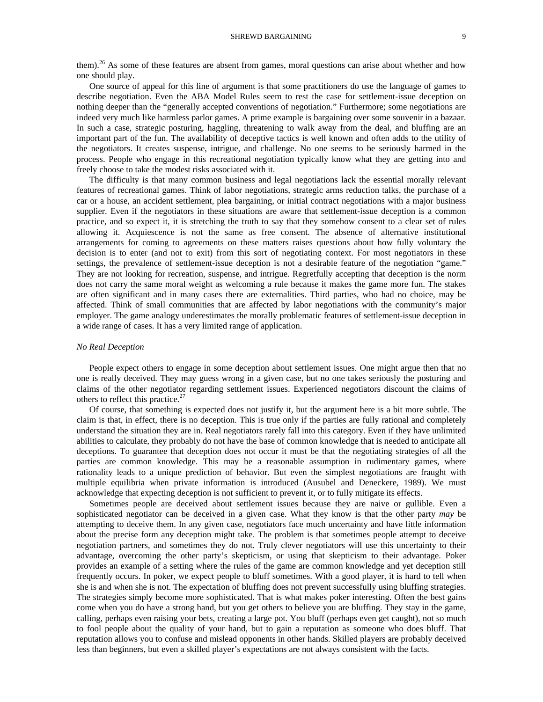them).<sup>26</sup> As some of these features are absent from games, moral questions can arise about whether and how one should play.

One source of appeal for this line of argument is that some practitioners do use the language of games to describe negotiation. Even the ABA Model Rules seem to rest the case for settlement-issue deception on nothing deeper than the "generally accepted conventions of negotiation." Furthermore; some negotiations are indeed very much like harmless parlor games. A prime example is bargaining over some souvenir in a bazaar. In such a case, strategic posturing, haggling, threatening to walk away from the deal, and bluffing are an important part of the fun. The availability of deceptive tactics is well known and often adds to the utility of the negotiators. It creates suspense, intrigue, and challenge. No one seems to be seriously harmed in the process. People who engage in this recreational negotiation typically know what they are getting into and freely choose to take the modest risks associated with it.

The difficulty is that many common business and legal negotiations lack the essential morally relevant features of recreational games. Think of labor negotiations, strategic arms reduction talks, the purchase of a car or a house, an accident settlement, plea bargaining, or initial contract negotiations with a major business supplier. Even if the negotiators in these situations are aware that settlement-issue deception is a common practice, and so expect it, it is stretching the truth to say that they somehow consent to a clear set of rules allowing it. Acquiescence is not the same as free consent. The absence of alternative institutional arrangements for coming to agreements on these matters raises questions about how fully voluntary the decision is to enter (and not to exit) from this sort of negotiating context. For most negotiators in these settings, the prevalence of settlement-issue deception is not a desirable feature of the negotiation "game." They are not looking for recreation, suspense, and intrigue. Regretfully accepting that deception is the norm does not carry the same moral weight as welcoming a rule because it makes the game more fun. The stakes are often significant and in many cases there are externalities. Third parties, who had no choice, may be affected. Think of small communities that are affected by labor negotiations with the community's major employer. The game analogy underestimates the morally problematic features of settlement-issue deception in a wide range of cases. It has a very limited range of application.

# *No Real Deception*

People expect others to engage in some deception about settlement issues. One might argue then that no one is really deceived. They may guess wrong in a given case, but no one takes seriously the posturing and claims of the other negotiator regarding settlement issues. Experienced negotiators discount the claims of others to reflect this practice.<sup>27</sup>

Of course, that something is expected does not justify it, but the argument here is a bit more subtle. The claim is that, in effect, there is no deception. This is true only if the parties are fully rational and completely understand the situation they are in. Real negotiators rarely fall into this category. Even if they have unlimited abilities to calculate, they probably do not have the base of common knowledge that is needed to anticipate all deceptions. To guarantee that deception does not occur it must be that the negotiating strategies of all the parties are common knowledge. This may be a reasonable assumption in rudimentary games, where rationality leads to a unique prediction of behavior. But even the simplest negotiations are fraught with multiple equilibria when private information is introduced (Ausubel and Deneckere, 1989). We must acknowledge that expecting deception is not sufficient to prevent it, or to fully mitigate its effects.

Sometimes people are deceived about settlement issues because they are naive or gullible. Even a sophisticated negotiator can be deceived in a given case. What they know is that the other party *may* be attempting to deceive them. In any given case, negotiators face much uncertainty and have little information about the precise form any deception might take. The problem is that sometimes people attempt to deceive negotiation partners, and sometimes they do not. Truly clever negotiators will use this uncertainty to their advantage, overcoming the other party's skepticism, or using that skepticism to their advantage. Poker provides an example of a setting where the rules of the game are common knowledge and yet deception still frequently occurs. In poker, we expect people to bluff sometimes. With a good player, it is hard to tell when she is and when she is not. The expectation of bluffing does not prevent successfully using bluffing strategies. The strategies simply become more sophisticated. That is what makes poker interesting. Often the best gains come when you do have a strong hand, but you get others to believe you are bluffing. They stay in the game, calling, perhaps even raising your bets, creating a large pot. You bluff (perhaps even get caught), not so much to fool people about the quality of your hand, but to gain a reputation as someone who does bluff. That reputation allows you to confuse and mislead opponents in other hands. Skilled players are probably deceived less than beginners, but even a skilled player's expectations are not always consistent with the facts.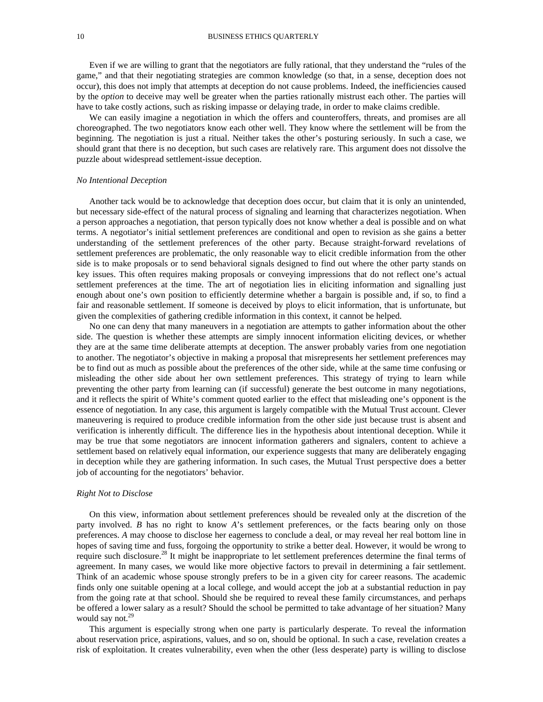Even if we are willing to grant that the negotiators are fully rational, that they understand the "rules of the game," and that their negotiating strategies are common knowledge (so that, in a sense, deception does not occur), this does not imply that attempts at deception do not cause problems. Indeed, the inefficiencies caused by the *option* to deceive may well be greater when the parties rationally mistrust each other. The parties will have to take costly actions, such as risking impasse or delaying trade, in order to make claims credible.

We can easily imagine a negotiation in which the offers and counteroffers, threats, and promises are all choreographed. The two negotiators know each other well. They know where the settlement will be from the beginning. The negotiation is just a ritual. Neither takes the other's posturing seriously. In such a case, we should grant that there is no deception, but such cases are relatively rare. This argument does not dissolve the puzzle about widespread settlement-issue deception.

# *No Intentional Deception*

Another tack would be to acknowledge that deception does occur, but claim that it is only an unintended, but necessary side-effect of the natural process of signaling and learning that characterizes negotiation. When a person approaches a negotiation, that person typically does not know whether a deal is possible and on what terms. A negotiator's initial settlement preferences are conditional and open to revision as she gains a better understanding of the settlement preferences of the other party. Because straight-forward revelations of settlement preferences are problematic, the only reasonable way to elicit credible information from the other side is to make proposals or to send behavioral signals designed to find out where the other party stands on key issues. This often requires making proposals or conveying impressions that do not reflect one's actual settlement preferences at the time. The art of negotiation lies in eliciting information and signalling just enough about one's own position to efficiently determine whether a bargain is possible and, if so, to find a fair and reasonable settlement. If someone is deceived by ploys to elicit information, that is unfortunate, but given the complexities of gathering credible information in this context, it cannot be helped.

No one can deny that many maneuvers in a negotiation are attempts to gather information about the other side. The question is whether these attempts are simply innocent information eliciting devices, or whether they are at the same time deliberate attempts at deception. The answer probably varies from one negotiation to another. The negotiator's objective in making a proposal that misrepresents her settlement preferences may be to find out as much as possible about the preferences of the other side, while at the same time confusing or misleading the other side about her own settlement preferences. This strategy of trying to learn while preventing the other party from learning can (if successful) generate the best outcome in many negotiations, and it reflects the spirit of White's comment quoted earlier to the effect that misleading one's opponent is the essence of negotiation. In any case, this argument is largely compatible with the Mutual Trust account. Clever maneuvering is required to produce credible information from the other side just because trust is absent and verification is inherently difficult. The difference lies in the hypothesis about intentional deception. While it may be true that some negotiators are innocent information gatherers and signalers, content to achieve a settlement based on relatively equal information, our experience suggests that many are deliberately engaging in deception while they are gathering information. In such cases, the Mutual Trust perspective does a better job of accounting for the negotiators' behavior.

#### *Right Not to Disclose*

On this view, information about settlement preferences should be revealed only at the discretion of the party involved. *B* has no right to know *A*'s settlement preferences, or the facts bearing only on those preferences. *A* may choose to disclose her eagerness to conclude a deal, or may reveal her real bottom line in hopes of saving time and fuss, forgoing the opportunity to strike a better deal. However, it would be wrong to require such disclosure.<sup>28</sup> It might be inappropriate to let settlement preferences determine the final terms of agreement. In many cases, we would like more objective factors to prevail in determining a fair settlement. Think of an academic whose spouse strongly prefers to be in a given city for career reasons. The academic finds only one suitable opening at a local college, and would accept the job at a substantial reduction in pay from the going rate at that school. Should she be required to reveal these family circumstances, and perhaps be offered a lower salary as a result? Should the school be permitted to take advantage of her situation? Many would say not.<sup>29</sup>

This argument is especially strong when one party is particularly desperate. To reveal the information about reservation price, aspirations, values, and so on, should be optional. In such a case, revelation creates a risk of exploitation. It creates vulnerability, even when the other (less desperate) party is willing to disclose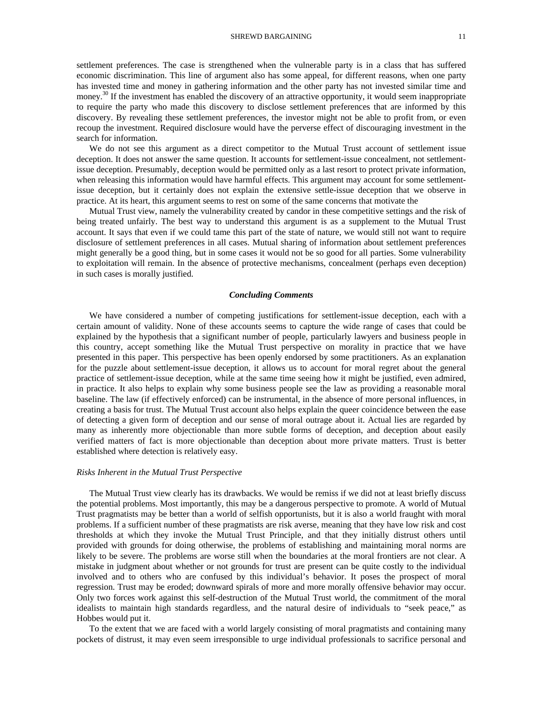#### SHREWD BARGAINING 11

settlement preferences. The case is strengthened when the vulnerable party is in a class that has suffered economic discrimination. This line of argument also has some appeal, for different reasons, when one party has invested time and money in gathering information and the other party has not invested similar time and money.<sup>30</sup> If the investment has enabled the discovery of an attractive opportunity, it would seem inappropriate to require the party who made this discovery to disclose settlement preferences that are informed by this discovery. By revealing these settlement preferences, the investor might not be able to profit from, or even recoup the investment. Required disclosure would have the perverse effect of discouraging investment in the search for information.

We do not see this argument as a direct competitor to the Mutual Trust account of settlement issue deception. It does not answer the same question. It accounts for settlement-issue concealment, not settlementissue deception. Presumably, deception would be permitted only as a last resort to protect private information, when releasing this information would have harmful effects. This argument may account for some settlementissue deception, but it certainly does not explain the extensive settle-issue deception that we observe in practice. At its heart, this argument seems to rest on some of the same concerns that motivate the

Mutual Trust view, namely the vulnerability created by candor in these competitive settings and the risk of being treated unfairly. The best way to understand this argument is as a supplement to the Mutual Trust account. It says that even if we could tame this part of the state of nature, we would still not want to require disclosure of settlement preferences in all cases. Mutual sharing of information about settlement preferences might generally be a good thing, but in some cases it would not be so good for all parties. Some vulnerability to exploitation will remain. In the absence of protective mechanisms, concealment (perhaps even deception) in such cases is morally justified.

# *Concluding Comments*

We have considered a number of competing justifications for settlement-issue deception, each with a certain amount of validity. None of these accounts seems to capture the wide range of cases that could be explained by the hypothesis that a significant number of people, particularly lawyers and business people in this country, accept something like the Mutual Trust perspective on morality in practice that we have presented in this paper. This perspective has been openly endorsed by some practitioners. As an explanation for the puzzle about settlement-issue deception, it allows us to account for moral regret about the general practice of settlement-issue deception, while at the same time seeing how it might be justified, even admired, in practice. It also helps to explain why some business people see the law as providing a reasonable moral baseline. The law (if effectively enforced) can be instrumental, in the absence of more personal influences, in creating a basis for trust. The Mutual Trust account also helps explain the queer coincidence between the ease of detecting a given form of deception and our sense of moral outrage about it. Actual lies are regarded by many as inherently more objectionable than more subtle forms of deception, and deception about easily verified matters of fact is more objectionable than deception about more private matters. Trust is better established where detection is relatively easy.

## *Risks Inherent in the Mutual Trust Perspective*

The Mutual Trust view clearly has its drawbacks. We would be remiss if we did not at least briefly discuss the potential problems. Most importantly, this may be a dangerous perspective to promote. A world of Mutual Trust pragmatists may be better than a world of selfish opportunists, but it is also a world fraught with moral problems. If a sufficient number of these pragmatists are risk averse, meaning that they have low risk and cost thresholds at which they invoke the Mutual Trust Principle, and that they initially distrust others until provided with grounds for doing otherwise, the problems of establishing and maintaining moral norms are likely to be severe. The problems are worse still when the boundaries at the moral frontiers are not clear. A mistake in judgment about whether or not grounds for trust are present can be quite costly to the individual involved and to others who are confused by this individual's behavior. It poses the prospect of moral regression. Trust may be eroded; downward spirals of more and more morally offensive behavior may occur. Only two forces work against this self-destruction of the Mutual Trust world, the commitment of the moral idealists to maintain high standards regardless, and the natural desire of individuals to "seek peace," as Hobbes would put it.

To the extent that we are faced with a world largely consisting of moral pragmatists and containing many pockets of distrust, it may even seem irresponsible to urge individual professionals to sacrifice personal and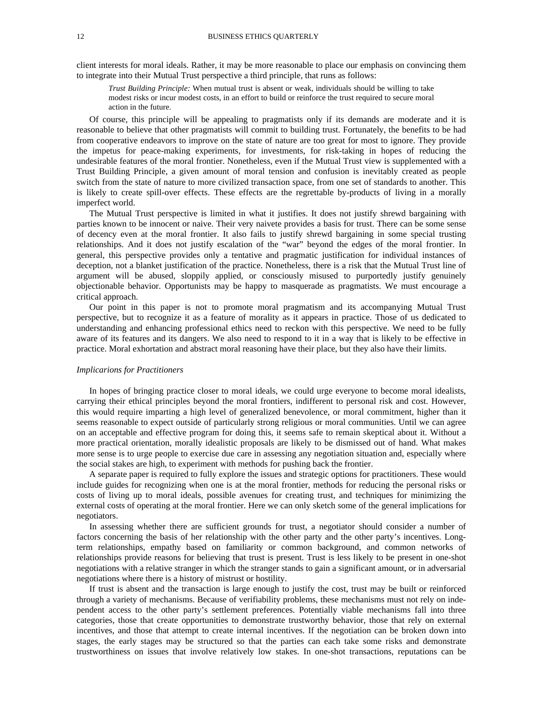client interests for moral ideals. Rather, it may be more reasonable to place our emphasis on convincing them to integrate into their Mutual Trust perspective a third principle, that runs as follows:

*Trust Building Principle:* When mutual trust is absent or weak, individuals should be willing to take modest risks or incur modest costs, in an effort to build or reinforce the trust required to secure moral action in the future.

Of course, this principle will be appealing to pragmatists only if its demands are moderate and it is reasonable to believe that other pragmatists will commit to building trust. Fortunately, the benefits to be had from cooperative endeavors to improve on the state of nature are too great for most to ignore. They provide the impetus for peace-making experiments, for investments, for risk-taking in hopes of reducing the undesirable features of the moral frontier. Nonetheless, even if the Mutual Trust view is supplemented with a Trust Building Principle, a given amount of moral tension and confusion is inevitably created as people switch from the state of nature to more civilized transaction space, from one set of standards to another. This is likely to create spill-over effects. These effects are the regrettable by-products of living in a morally imperfect world.

The Mutual Trust perspective is limited in what it justifies. It does not justify shrewd bargaining with parties known to be innocent or naive. Their very naivete provides a basis for trust. There can be some sense of decency even at the moral frontier. It also fails to justify shrewd bargaining in some special trusting relationships. And it does not justify escalation of the "war" beyond the edges of the moral frontier. In general, this perspective provides only a tentative and pragmatic justification for individual instances of deception, not a blanket justification of the practice. Nonetheless, there is a risk that the Mutual Trust line of argument will be abused, sloppily applied, or consciously misused to purportedly justify genuinely objectionable behavior. Opportunists may be happy to masquerade as pragmatists. We must encourage a critical approach.

Our point in this paper is not to promote moral pragmatism and its accompanying Mutual Trust perspective, but to recognize it as a feature of morality as it appears in practice. Those of us dedicated to understanding and enhancing professional ethics need to reckon with this perspective. We need to be fully aware of its features and its dangers. We also need to respond to it in a way that is likely to be effective in practice. Moral exhortation and abstract moral reasoning have their place, but they also have their limits.

### *Implicarions for Practitioners*

In hopes of bringing practice closer to moral ideals, we could urge everyone to become moral idealists, carrying their ethical principles beyond the moral frontiers, indifferent to personal risk and cost. However, this would require imparting a high level of generalized benevolence, or moral commitment, higher than it seems reasonable to expect outside of particularly strong religious or moral communities. Until we can agree on an acceptable and effective program for doing this, it seems safe to remain skeptical about it. Without a more practical orientation, morally idealistic proposals are likely to be dismissed out of hand. What makes more sense is to urge people to exercise due care in assessing any negotiation situation and, especially where the social stakes are high, to experiment with methods for pushing back the frontier.

A separate paper is required to fully explore the issues and strategic options for practitioners. These would include guides for recognizing when one is at the moral frontier, methods for reducing the personal risks or costs of living up to moral ideals, possible avenues for creating trust, and techniques for minimizing the external costs of operating at the moral frontier. Here we can only sketch some of the general implications for negotiators.

In assessing whether there are sufficient grounds for trust, a negotiator should consider a number of factors concerning the basis of her relationship with the other party and the other party's incentives. Longterm relationships, empathy based on familiarity or common background, and common networks of relationships provide reasons for believing that trust is present. Trust is less likely to be present in one-shot negotiations with a relative stranger in which the stranger stands to gain a significant amount, or in adversarial negotiations where there is a history of mistrust or hostility.

If trust is absent and the transaction is large enough to justify the cost, trust may be built or reinforced through a variety of mechanisms. Because of verifiability problems, these mechanisms must not rely on independent access to the other party's settlement preferences. Potentially viable mechanisms fall into three categories, those that create opportunities to demonstrate trustworthy behavior, those that rely on external incentives, and those that attempt to create internal incentives. If the negotiation can be broken down into stages, the early stages may be structured so that the parties can each take some risks and demonstrate trustworthiness on issues that involve relatively low stakes. In one-shot transactions, reputations can be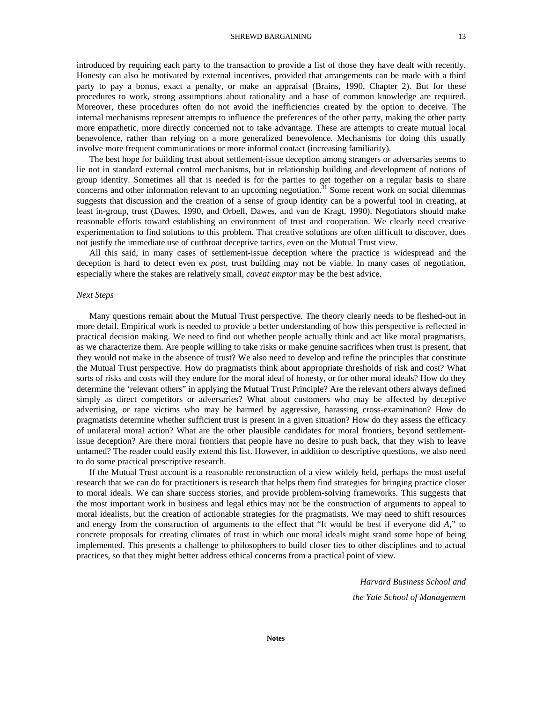introduced by requiring each party to the transaction to provide a list of those they have dealt with recently. Honesty can also be motivated by external incentives, provided that arrangements can be made with a third party to pay a bonus, exact a penalty, or make an appraisal (Brains, 1990, Chapter 2). But for these procedures to work, strong assumptions about rationality and a base of common knowledge are required. Moreover, these procedures often do not avoid the inefficiencies created by the option to deceive. The internal mechanisms represent attempts to influence the preferences of the other party, making the other party more empathetic, more directly concerned not to take advantage. These are attempts to create mutual local benevolence, rather than relying on a more generalized benevolence. Mechanisms for doing this usually involve more frequent communications or more informal contact (increasing familiarity).

The best hope for building trust about settlement-issue deception among strangers or adversaries seems to lie not in standard external control mechanisms, but in relationship building and development of notions of group identity. Sometimes all that is needed is for the parties to get together on a regular basis to share concerns and other information relevant to an upcoming negotiation.<sup>31</sup> Some recent work on social dilemmas suggests that discussion and the creation of a sense of group identity can be a powerful tool in creating, at least in-group, trust (Dawes, 1990, and Orbell, Dawes, and van de Kragt, 1990). Negotiators should make reasonable efforts toward establishing an environment of trust and cooperation. We clearly need creative experimentation to find solutions to this problem. That creative solutions are often difficult to discover, does not justify the immediate use of cutthroat deceptive tactics, even on the Mutual Trust view.

All this said, in many cases of settlement-issue deception where the practice is widespread and the deception is hard to detect even ex *post,* trust building may not be viable. In many cases of negotiation, especially where the stakes are relatively small, *caveat emptor* may be the best advice.

## *Next Steps*

Many questions remain about the Mutual Trust perspective. The theory clearly needs to be fleshed-out in more detail. Empirical work is needed to provide a better understanding of how this perspective is reflected in practical decision making. We need to find out whether people actually think and act like moral pragmatists, as we characterize them. Are people willing to take risks or make genuine sacrifices when trust is present, that they would not make in the absence of trust? We also need to develop and refine the principles that constitute the Mutual Trust perspective. How do pragmatists think about appropriate thresholds of risk and cost? What sorts of risks and costs will they endure for the moral ideal of honesty, or for other moral ideals? How do they determine the 'relevant others" in applying the Mutual Trust Principle? Are the relevant others always defined simply as direct competitors or adversaries? What about customers who may be affected by deceptive advertising, or rape victims who may be harmed by aggressive, harassing cross-examination? How do pragmatists determine whether sufficient trust is present in a given situation? How do they assess the efficacy of unilateral moral action? What are the other plausible candidates for moral frontiers, beyond settlementissue deception? Are there moral frontiers that people have no desire to push back, that they wish to leave untamed? The reader could easily extend this list. However, in addition to descriptive questions, we also need to do some practical prescriptive research.

If the Mutual Trust account is a reasonable reconstruction of a view widely held, perhaps the most useful research that we can do for practitioners is research that helps them find strategies for bringing practice closer to moral ideals. We can share success stories, and provide problem-solving frameworks. This suggests that the most important work in business and legal ethics may not be the construction of arguments to appeal to moral idealists, but the creation of actionable strategies for the pragmatists. We may need to shift resources and energy from the construction of arguments to the effect that "It would be best if everyone did *A*," to concrete proposals for creating climates of trust in which our moral ideals might stand some hope of being implemented. This presents a challenge to philosophers to build closer ties to other disciplines and to actual practices, so that they might better address ethical concerns from a practical point of view.

> *Harvard Business School and the Yale School of Management*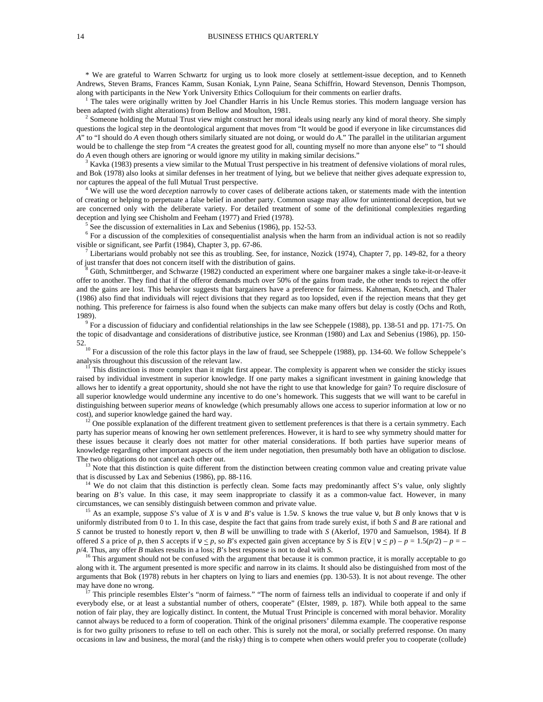\* We are grateful to Warren Schwartz for urging us to look more closely at settlement-issue deception, and to Kenneth Andrews, Steven Brams, Frances Kamm, Susan Koniak, Lynn Paine, Seana Schiffrin, Howard Stevenson, Dennis Thompson, along with participants in the New York University Ethics Colloquium for their comments on earlier drafts.

<sup>1</sup> The tales were originally written by Joel Chandler Harris in his Uncle Remus stories. This modern language version has been adapted (with slight alterations) from Bellow and Moulton, 1981.

<sup>2</sup> Someone holding the Mutual Trust view might construct her moral ideals using nearly any kind of moral theory. She simply questions the logical step in the deontological argument that moves from "It would be good if everyone in like circumstances did *A*" to "I should do *A* even though others similarly situated are not doing, or would do *A*." The parallel in the utilitarian argument would be to challenge the step from "*A* creates the greatest good for all, counting myself no more than anyone else" to "I should do *A* even though others are ignoring or would ignore my utility in making similar decisions."

<sup>3</sup> Kavka (1983) presents a view similar to the Mutual Trust perspective in his treatment of defensive violations of moral rules, and Bok (1978) also looks at similar defenses in her treatment of lying, but we believe that neither gives adequate expression to, nor captures the appeal of the full Mutual Trust perspective.

<sup>4</sup> We will use the word *deception* narrowly to cover cases of deliberate actions taken, or statements made with the intention of creating or helping to perpetuate a false belief in another party. Common usage may allow for unintentional deception, but we are concerned only with the deliberate variety. For detailed treatment of some of the definitional complexities regarding deception and lying see Chisholm and Feeham (1977) and Fried (1978).

 $5$  See the discussion of externalities in Lax and Sebenius (1986), pp. 152-53.

<sup>6</sup> For a discussion of the complexities of consequentialist analysis when the harm from an individual action is not so readily visible or significant, see Parfit (1984), Chapter 3, pp. 67-86.

Libertarians would probably not see this as troubling. See, for instance, Nozick (1974), Chapter 7, pp. 149-82, for a theory of just transfer that does not concern itself with the distribution of gains.

Güth, Schmittberger, and Schwarze (1982) conducted an experiment where one bargainer makes a single take-it-or-leave-it offer to another. They find that if the offeror demands much over 50% of the gains from trade, the other tends to reject the offer and the gains are lost. This behavior suggests that bargainers have a preference for fairness. Kahneman, Knetsch, and Thaler (1986) also find that individuals will reject divisions that they regard as too lopsided, even if the rejection means that they get nothing. This preference for fairness is also found when the subjects can make many offers but delay is costly (Ochs and Roth, 1989).

 $9$  For a discussion of fiduciary and confidential relationships in the law see Scheppele (1988), pp. 138-51 and pp. 171-75. On the topic of disadvantage and considerations of distributive justice, see Kronman (1980) and Lax and Sebenius (1986), pp. 150- 52.

<sup>10</sup> For a discussion of the role this factor plays in the law of fraud, see Scheppele (1988), pp. 134-60. We follow Scheppele's analysis throughout this discussion of the relevant law.

<sup>11</sup> This distinction is more complex than it might first appear. The complexity is apparent when we consider the sticky issues raised by individual investment in superior knowledge. If one party makes a significant investment in gaining knowledge that allows her to identify a great opportunity, should she not have the right to use that knowledge for gain? To require disclosure of all superior knowledge would undermine any incentive to do one's homework. This suggests that we will want to be careful in distinguishing between superior *means* of knowledge (which presumably allows one access to superior information at low or no cost), and superior knowledge gained the hard way.

 $12$  One possible explanation of the different treatment given to settlement preferences is that there is a certain symmetry. Each party has superior means of knowing her own settlement preferences. However, it is hard to see why symmetry should matter for these issues because it clearly does not matter for other material considerations. If both parties have superior means of knowledge regarding other important aspects of the item under negotiation, then presumably both have an obligation to disclose. The two obligations do not cancel each other out.

 $13$  Note that this distinction is quite different from the distinction between creating common value and creating private value that is discussed by Lax and Sebenius (1986), pp. 88-116.

<sup>14</sup> We do not claim that this distinction is perfectly clean. Some facts may predominantly affect S's value, only slightly bearing on *B's* value. In this case, it may seem inappropriate to classify it as a common-value fact. However, in many circumstances, we can sensibly distinguish between common and private value.

<sup>15</sup> As an example, suppose *S*'s value of *X* is ν and *B*'s value is 1.5*n*. *S* knows the true value *n*, but *B* only knows that *n* is uniformly distributed from 0 to 1. In this case, despite the fact that gains from trade surely exist, if both *S* and *B* are rational and *S* cannot be trusted to honestly report *n*, then *B* will be unwilling to trade with *S* (Akerlof, 1970 and Samuelson, 1984). If *B* offered S a price of p, then S accepts if  $n \le p$ , so B's expected gain given acceptance by S is  $E(n | n \le p) - p = 1.5(p/2) - p =$ *p*/4. Thus, any offer *B* makes results in a loss; *B*'s best response is not to deal with *S*.

 $16$  This argument should not be confused with the argument that because it is common practice, it is morally acceptable to go along with it. The argument presented is more specific and narrow in its claims. It should also be distinguished from most of the arguments that Bok (1978) rebuts in her chapters on lying to liars and enemies (pp. 130-53). It is not about revenge. The other may have done no wrong.

<sup>17</sup> This principle resembles Elster's "norm of fairness." "The norm of fairness tells an individual to cooperate if and only if everybody else, or at least a substantial number of others, cooperate" (Elster, 1989, p. 187). While both appeal to the same notion of fair play, they are logically distinct. In content, the Mutual Trust Principle is concerned with moral behavior. Morality cannot always be reduced to a form of cooperation. Think of the original prisoners' dilemma example. The cooperative response is for two guilty prisoners to refuse to tell on each other. This is surely not the moral, or socially preferred response. On many occasions in law and business, the moral (and the risky) thing is to compete when others would prefer you to cooperate (collude)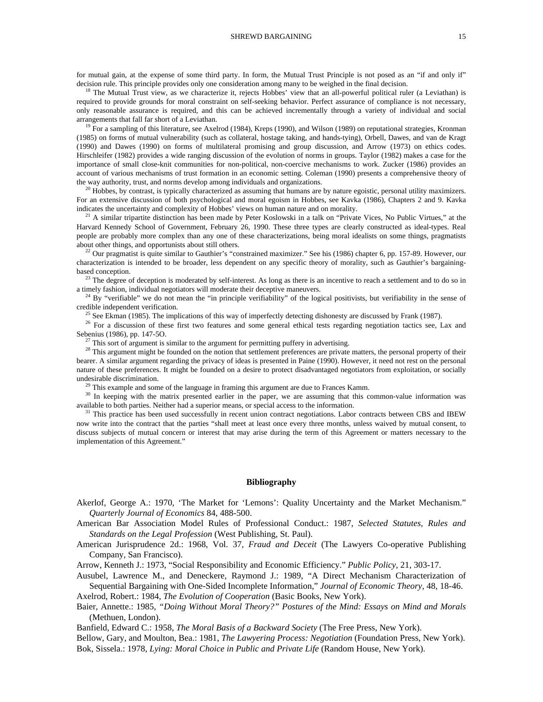#### SHREWD BARGAINING 15

for mutual gain, at the expense of some third party. In form, the Mutual Trust Principle is not posed as an "if and only if" decision rule. This principle provides only one consideration among many to be weighed in the final decision.

<sup>18</sup> The Mutual Trust view, as we characterize it, rejects Hobbes' view that an all-powerful political ruler (a Leviathan) is required to provide grounds for moral constraint on self-seeking behavior. Perfect assurance of compliance is not necessary, only reasonable assurance is required, and this can be achieved incrementally through a variety of individual and social arrangements that fall far short of a Leviathan.

<sup>19</sup> For a sampling of this literature, see Axelrod (1984), Kreps (1990), and Wilson (1989) on reputational strategies, Kronman (1985) on forms of mutual vulnerability (such as collateral, hostage taking, and hands-tying), Orbell, Dawes, and van de Kragt (1990) and Dawes (1990) on forms of multilateral promising and group discussion, and Arrow (1973) on ethics codes. Hirschleifer (1982) provides a wide ranging discussion of the evolution of norms in groups. Taylor (1982) makes a case for the importance of small close-knit communities for non-political, non-coercive mechanisms to work. Zucker (1986) provides an account of various mechanisms of trust formation in an economic setting. Coleman (1990) presents a comprehensive theory of the way authority, trust, and norms develop among individuals and organizations.

 $20$  Hobbes, by contrast, is typically characterized as assuming that humans are by nature egoistic, personal utility maximizers. For an extensive discussion of both psychological and moral egoism in Hobbes, see Kavka (1986), Chapters 2 and 9. Kavka indicates the uncertainty and complexity of Hobbes' views on human nature and on morality.

 $2<sup>1</sup>$  A similar tripartite distinction has been made by Peter Koslowski in a talk on "Private Vices, No Public Virtues," at the Harvard Kennedy School of Government, February 26, 1990. These three types are clearly constructed as ideal-types. Real people are probably more complex than any one of these characterizations, being moral idealists on some things, pragmatists about other things, and opportunists about still others.

<sup>22</sup> Our pragmatist is quite similar to Gauthier's "constrained maximizer." See his (1986) chapter 6, pp. 157-89. However, our characterization is intended to be broader, less dependent on any specific theory of morality, such as Gauthier's bargainingbased conception.

<sup>23</sup> The degree of deception is moderated by self-interest. As long as there is an incentive to reach a settlement and to do so in a timely fashion, individual negotiators will moderate their deceptive maneuvers.

<sup>24</sup> By "verifiable" we do not mean the "in principle verifiability" of the logical positivists, but verifiability in the sense of credible independent verification.

<sup>25</sup> See Ekman (1985). The implications of this way of imperfectly detecting dishonesty are discussed by Frank (1987).

<sup>26</sup> For a discussion of these first two features and some general ethical tests regarding negotiation tactics see, Lax and Sebenius (1986), pp. 147-5O.

 $<sup>7</sup>$  This sort of argument is similar to the argument for permitting puffery in advertising.</sup>

<sup>28</sup> This argument might be founded on the notion that settlement preferences are private matters, the personal property of their bearer. A similar argument regarding the privacy of ideas is presented in Paine (1990). However, it need not rest on the personal nature of these preferences. It might be founded on a desire to protect disadvantaged negotiators from exploitation, or socially undesirable discrimination.

<sup>29</sup> This example and some of the language in framing this argument are due to Frances Kamm.

<sup>30</sup> In keeping with the matrix presented earlier in the paper, we are assuming that this common-value information was available to both parties. Neither had a superior means, or special access to the information.

 $31$  This practice has been used successfully in recent union contract negotiations. Labor contracts between CBS and IBEW now write into the contract that the parties "shall meet at least once every three months, unless waived by mutual consent, to discuss subjects of mutual concern or interest that may arise during the term of this Agreement or matters necessary to the implementation of this Agreement."

## **Bibliography**

Akerlof, George A.: 1970, 'The Market for 'Lemons': Quality Uncertainty and the Market Mechanism." *Quarterly Journal of Economics* 84, 488-500.

American Bar Association Model Rules of Professional Conduct.: 1987, *Selected Statutes, Rules and Standards on the Legal Profession* (West Publishing, St. Paul).

American Jurisprudence 2d.: 1968, Vol. 37, *Fraud and Deceit* (The Lawyers Co-operative Publishing Company, San Francisco).

Arrow, Kenneth J.: 1973, "Social Responsibility and Economic Efficiency." *Public Policy*, 21, 303-17.

Ausubel, Lawrence M., and Deneckere, Raymond J.: 1989, "A Direct Mechanism Characterization of Sequential Bargaining with One-Sided Incomplete Information," *Journal of Economic Theory,* 48, 18-46.

Axelrod, Robert.: 1984, *The Evolution of Cooperation* (Basic Books, New York).

Baier, Annette.: 1985, *"Doing Without Moral Theory?" Postures of the Mind: Essays on Mind and Morals* (Methuen, London).

Banfield, Edward C.: 1958, *The Moral Basis of a Backward Society* (The Free Press, New York).

Bellow, Gary, and Moulton, Bea.: 1981, *The Lawyering Process: Negotiation* (Foundation Press, New York).

Bok, Sissela.: 1978, *Lying: Moral Choice in Public and Private Life* (Random House, New York).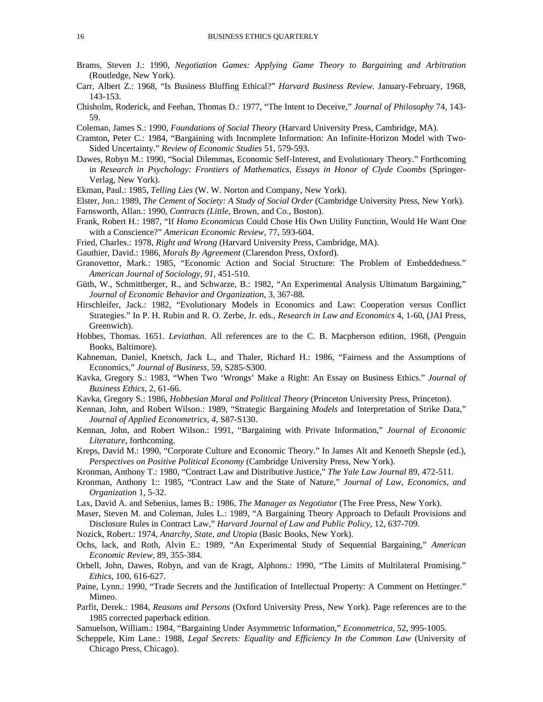- Brams, Steven J.: 1990, *Negotiation Games: Applying Game Theory to Bargain*ing *and Arbitration* (Routledge, New York).
- Carr, Albert Z.: 1968, "Is Business Bluffing Ethical?" *Harvard Business Review.* January-February, 1968, 143-153.
- Chisholm, Roderick, and Feehan, Thomas D.: 1977, "The Intent to Deceive," *Journal of Philosophy* 74, 143- 59.
- Coleman, James S.: 1990, *Foundations of Social Theory* (Harvard University Press, Cambridge, MA).
- Cramton, Peter C.: 1984, "Bargaining with Incomplete Information: An Infinite-Horizon Model with Two-Sided Uncertainty." *Review of Economic Studies* 51, 579-593.
- Dawes, Robyn M.: 1990, "Social Dilemmas, Economic Self-Interest, and Evolutionary Theory." Forthcoming in *Research in Psychology: Frontiers of Mathematics, Essays in Honor of Clyde Coombs* (Springer-Verlag, New York).
- Ekman, Paul.: 1985, *Telling Lies* (W. W. Norton and Company, New York).

Elster, Jon.: 1989, *The Cement of Society: A Study of Social Order* (Cambridge University Press, New York). Farnsworth, Allan.: 1990, *Contracts (Little,* Brown, and Co., Boston).

- Frank, Robert H.: 1987, "If *Homo Economicus* Could Chose His Own Utility Function, Would He Want One with a Conscience?" *American Economic Review,* 77, 593-604.
- Fried, Charles.: 1978, *Right and Wrong* (Harvard University Press, Cambridge, MA).
- Gauthier, David.: 1986, *Morals By Agreement* (Clarendon Press, Oxford).
- Granovettor, Mark.: 1985, "Economic Action and Social Structure: The Problem of Embeddedness." *American Journal of Sociology, 91,* 451-510.
- Güth, W., Schmittberger, R., and Schwarze, B.: 1982, "An Experimental Analysis Ultimatum Bargaining," *Journal of Economic Behavior and Organization,* 3, 367-88.
- Hirschleifer, Jack.: 1982, "Evolutionary Models in Economics and Law: Cooperation versus Conflict Strategies." In P. H. Rubin and R. O. Zerbe, Jr. eds., *Research in Law and Economics* 4, 1-60, (JAI Press, Greenwich).
- Hobbes, Thomas. 1651. *Leviathan.* All references are to the C. B. Macpherson edition, 1968, (Penguin Books, Baltimore).
- Kahneman, Daniel, Knetsch, Jack L., and Thaler, Richard H.: 1986, "Fairness and the Assumptions of Economics," *Journal of Business,* 59, S285-S300.
- Kavka, Gregory S.: 1983, "When Two 'Wrongs' Make a Right: An Essay on Business Ethics." *Journal of Business Ethics*, 2, 61-66.
- Kavka, Gregory S.: 1986, *Hobbesian Moral and Political Theory* (Princeton University Press, Princeton).
- Kennan, John, and Robert Wilson.: 1989, "Strategic Bargaining *Models* and Interpretation of Strike Data," *Journal of Applied Econometrics, 4,* S87-S130.
- Kennan, John, and Robert Wilson.: 1991, "Bargaining with Private Information," *Journal of Economic Literature,* forthcoming.
- Kreps, David M.: 1990, "Corporate Culture and Economic Theory." In James Alt and Kenneth Shepsle (ed.), *Perspectives on Positive Political Economy* (Cambridge University Press, New York).
- Kronman, Anthony T.: 1980, "Contract Law and Distributive Justice," *The Yale Law Journal* 89, 472-511*.*
- Kronman, Anthony 1:: 1985, "Contract Law and the State of Nature," *Journal of Law, Economics, and Organization* 1, 5-32.
- Lax, David A. and Sebenius, lames B.: 1986, *The Manager as Negotiator* (The Free Press, New York).
- Maser, Steven M. and Coleman, Jules L.: 1989, "A Bargaining Theory Approach to Default Provisions and Disclosure Rules in Contract Law," *Harvard Journal of Law and Public Policy*, 12*,* 637-709.

Nozick, Robert.: 1974, *Anarchy, State, and Utopia* (Basic Books, New York).

- Ochs, lack, and Roth, Alvin E.: 1989, "An Experimental Study of Sequential Bargaining," *American Economic Review,* 89, 355-384.
- Orbell, John, Dawes, Robyn, and van de Kragt, Alphons.: 1990, "The Limits of Multilateral Promising." *Ethics,* 100, 616-627.
- Paine, Lynn.: 1990, "Trade Secrets and the Justification of Intellectual Property: A Comment on Hettinger." Mimeo.
- Parfit, Derek.: 1984, *Reasons and Persons* (Oxford University Press, New York). Page references are to the 1985 corrected paperback edition.
- Samuelson, William.: 1984, "Bargaining Under Asymmetric Information," *Econometrica,* 52, 995-1005.
- Scheppele, Kim Lane.: 1988, *Legal Secrets: Equality and Efficiency In the Common Law* (University of Chicago Press, Chicago).